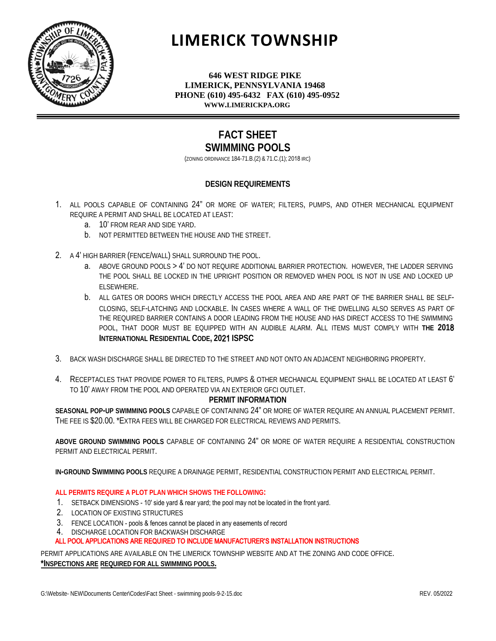

# **LIMERICK TOWNSHIP**

**646 WEST RIDGE PIKE LIMERICK, PENNSYLVANIA 19468 PHONE (610) 495-6432 FAX (610) 495-0952 WWW.LIMERICKPA.ORG**

### **FACT SHEET SWIMMING POOLS**

(ZONING ORDINANCE 184-71.B.(2) & 71.C.(1); 2018 IRC)

#### **DESIGN REQUIREMENTS**

- 1. ALL POOLS CAPABLE OF CONTAINING 24" OR MORE OF WATER; FILTERS, PUMPS, AND OTHER MECHANICAL EQUIPMENT REQUIRE A PERMIT AND SHALL BE LOCATED AT LEAST:
	- a. 10' FROM REAR AND SIDE YARD.
	- b. NOT PERMITTED BETWEEN THE HOUSE AND THE STREET.
- 2. A 4' HIGH BARRIER (FENCE/WALL) SHALL SURROUND THE POOL.
	- a. ABOVE GROUND POOLS > 4' DO NOT REQUIRE ADDITIONAL BARRIER PROTECTION. HOWEVER, THE LADDER SERVING THE POOL SHALL BE LOCKED IN THE UPRIGHT POSITION OR REMOVED WHEN POOL IS NOT IN USE AND LOCKED UP ELSEWHERE.
	- b. ALL GATES OR DOORS WHICH DIRECTLY ACCESS THE POOL AREA AND ARE PART OF THE BARRIER SHALL BE SELF-CLOSING, SELF-LATCHING AND LOCKABLE. IN CASES WHERE A WALL OF THE DWELLING ALSO SERVES AS PART OF THE REQUIRED BARRIER CONTAINS A DOOR LEADING FROM THE HOUSE AND HAS DIRECT ACCESS TO THE SWIMMING POOL, THAT DOOR MUST BE EQUIPPED WITH AN AUDIBLE ALARM. ALL ITEMS MUST COMPLY WITH **THE 201**8 **INTERNATIONAL RESIDENTIAL CODE, 20**21 **ISPSC**
- 3. BACK WASH DISCHARGE SHALL BE DIRECTED TO THE STREET AND NOT ONTO AN ADJACENT NEIGHBORING PROPERTY.
- 4. RECEPTACLES THAT PROVIDE POWER TO FILTERS, PUMPS & OTHER MECHANICAL EQUIPMENT SHALL BE LOCATED AT LEAST 6' TO 10' AWAY FROM THE POOL AND OPERATED VIA AN EXTERIOR GFCI OUTLET.

#### **PERMIT INFORMATION**

**SEASONAL POP-UP SWIMMING POOLS** CAPABLE OF CONTAINING 24" OR MORE OF WATER REQUIRE AN ANNUAL PLACEMENT PERMIT. THE FEE IS \$20.00. \*EXTRA FEES WILL BE CHARGED FOR ELECTRICAL REVIEWS AND PERMITS.

**ABOVE GROUND SWIMMING POOLS** CAPABLE OF CONTAINING 24" OR MORE OF WATER REQUIRE A RESIDENTIAL CONSTRUCTION PERMIT AND ELECTRICAL PERMIT.

**IN-GROUND SWIMMING POOLS** REQUIRE A DRAINAGE PERMIT, RESIDENTIAL CONSTRUCTION PERMIT AND ELECTRICAL PERMIT.

#### **ALL PERMITS REQUIRE A PLOT PLAN WHICH SHOWS THE FOLLOWING:**

- 1. SETBACK DIMENSIONS 10' side yard & rear yard; the pool may not be located in the front yard.
- 2. LOCATION OF EXISTING STRUCTURES
- 3. FENCE LOCATION pools & fences cannot be placed in any easements of record
- 4. DISCHARGE LOCATION FOR BACKWASH DISCHARGE

#### ALL POOL APPLICATIONS ARE REQUIRED TO INCLUDE MANUFACTURER'S INSTALLATION INSTRUCTIONS

PERMIT APPLICATIONS ARE AVAILABLE ON THE LIMERICK TOWNSHIP WEBSITE AND AT THE ZONING AND CODE OFFICE. **\*INSPECTIONS ARE REQUIRED FOR ALL SWIMMING POOLS.**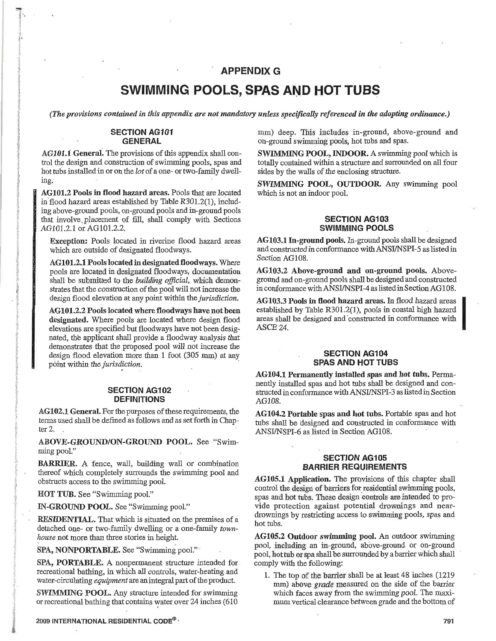#### **APPENDIX G**

## SWIMMING POOLS, SPAS AND HOT TUBS

(The provisions contained in this appendix are not mandatory unless specifically referenced in the adopting ordinance.)

#### **SECTION AG101 GENERAL**

AG101.1 General. The provisions of this appendix shall control the design and construction of swimming pools, spas and hot tubs installed in or on the lot of a one- or two-family dwelling.

AG101.2 Pools in flood hazard areas. Pools that are located in flood hazard areas established by Table R301.2(1), including above-ground pools, on-ground pools and in-ground pools that involve placement of fill, shall comply with Sections AG101.2.1 or AG101.2.2.

Exception: Pools located in riverine flood hazard areas which are outside of designated floodways.

AG101.2.1 Pools located in designated floodways. Where pools are located in designated floodways, documentation shall be submitted to the building official, which demonstrates that the construction of the pool will not increase the design flood elevation at any point within the jurisdiction.

AG101.2.2 Pools located where floodways have not been designated. Where pools are located where design flood elevations are specified but floodways have not been designated, the applicant shall provide a floodway analysis that demonstrates that the proposed pool will not increase the design flood elevation more than 1 foot (305 mm) at any point within the jurisdiction.

#### **SECTION AG102 DEFINITIONS**

AG102.1 General. For the purposes of these requirements, the terms used shall be defined as follows and as set forth in Chapter  $2$ .

ABOVE-GROUND/ON-GROUND POOL. See "Swimming pool."

BARRIER. A fence, wall, building wall or combination thereof which completely surrounds the swimming pool and obstructs access to the swimming pool.

HOT TUB. See "Swimming pool."

IN-GROUND POOL. See "Swimming pool."

RESIDENTIAL. That which is situated on the premises of a detached one- or two-family dwelling or a one-family townhouse not more than three stories in height.

SPA, NONPORTABLE. See "Swimming pool."

SPA, PORTABLE. A nonpermanent structure intended for recreational bathing, in which all controls, water-heating and water-circulating *equipment* are an integral part of the product.

SWIMMING POOL. Any structure intended for swimming or recreational bathing that contains water over 24 inches (610)

2009 INTERNATIONAL RESIDENTIAL CODE®.

mm) deep. This includes in-ground, above-ground and on-ground swimming pools, hot tubs and spas.

SWIMMING POOL, INDOOR. A swimming pool which is totally contained within a structure and surrounded on all four sides by the walls of the enclosing structure.

SWIMMING POOL, OUTDOOR. Any swimming pool which is not an indoor pool.

#### **SECTION AG103 SWIMMING POOLS**

AG103.1 In-ground pools. In-ground pools shall be designed and constructed in conformance with ANSI/NSPI-5 as listed in Section AG108.

AG103.2 Above-ground and on-ground pools. Aboveground and on-ground pools shall be designed and constructed in conformance with ANSI/NSPI-4 as listed in Section AG108.

AG103.3 Pools in flood hazard areas. In flood hazard areas established by Table R301.2(1), pools in coastal high hazard areas shall be designed and constructed in conformance with ASCE 24.

#### **SECTION AG104 SPAS AND HOT TUBS**

AG104.1 Permanently installed spas and hot tubs. Permanently installed spas and hot tubs shall be designed and constructed in conformance with ANSI/NSPI-3 as listed in Section AG108.

AG104.2 Portable spas and hot tubs. Portable spas and hot tubs shall be designed and constructed in conformance with ANSI/NSPI-6 as listed in Section AG108.

#### **SECTION AG105 BARRIER REQUIREMENTS**

AG105.1 Application. The provisions of this chapter shall control the design of barriers for residential swimming pools, spas and hot tubs. These design controls are intended to provide protection against potential drownings and neardrownings by restricting access to swimming pools, spas and hot tubs.

AG105.2 Outdoor swimming pool. An outdoor swimming pool, including an in-ground, above-ground or on-ground pool, hot tub or spa shall be surrounded by a barrier which shall comply with the following:

1. The top of the barrier shall be at least 48 inches (1219) mm) above *grade* measured on the side of the barrier which faces away from the swimming pool. The maximum vertical clearance between grade and the bottom of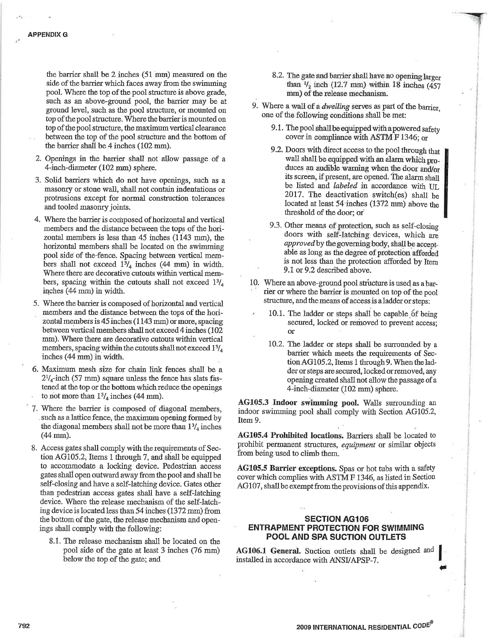the barrier shall be 2 inches (51 mm) measured on the side of the barrier which faces away from the swimming pool. Where the top of the pool structure is above grade, such as an above-ground pool, the barrier may be at ground level, such as the pool structure, or mounted on top of the pool structure. Where the barrier is mounted on top of the pool structure, the maximum vertical clearance between the top of the pool structure and the bottom of the barrier shall be 4 inches (102 mm).

- 2. Openings in the barrier shall not allow passage of a 4-inch-diameter (102 mm) sphere.
- 3. Solid barriers which do not have openings, such as a masonry or stone wall, shall not contain indentations or protrusions except for normal construction tolerances and tooled masonry joints.
- 4. Where the barrier is composed of horizontal and vertical members and the distance between the tops of the horizontal members is less than 45 inches (1143 mm), the horizontal members shall be located on the swimming pool side of the fence. Spacing between vertical members shall not exceed  $1\frac{3}{4}$  inches (44 mm) in width. Where there are decorative cutouts within vertical members, spacing within the cutouts shall not exceed  $1\frac{3}{4}$ inches (44 mm) in width.
- 5. Where the barrier is composed of horizontal and vertical members and the distance between the tops of the horizontal members is 45 inches (1143 mm) or more, spacing between vertical members shall not exceed 4 inches (102) mm). Where there are decorative cutouts within vertical members, spacing within the cutouts shall not exceed  $1\frac{3}{4}$ inches (44 mm) in width.
- 6. Maximum mesh size for chain link fences shall be a  $2^{1}/_{4}$ -inch (57 mm) square unless the fence has slats fastened at the top or the bottom which reduce the openings to not more than  $1\frac{3}{4}$  inches (44 mm).
- 7. Where the barrier is composed of diagonal members, such as a lattice fence, the maximum opening formed by the diagonal members shall not be more than  $1\frac{3}{4}$  inches  $(44 \text{ mm})$ .
- 8. Access gates shall comply with the requirements of Section AG105.2, Items 1 through 7, and shall be equipped to accommodate a locking device. Pedestrian access gates shall open outward away from the pool and shall be self-closing and have a self-latching device. Gates other than pedestrian access gates shall have a self-latching device. Where the release mechanism of the self-latching device is located less than 54 inches (1372 mm) from the bottom of the gate, the release mechanism and openings shall comply with the following:
	- 8.1. The release mechanism shall be located on the pool side of the gate at least 3 inches (76 mm) below the top of the gate; and
- 8.2. The gate and barrier shall have no opening larger than  $\frac{1}{2}$  inch (12.7 mm) within 18 inches (457 mm) of the release mechanism.
- 9. Where a wall of a *dwelling* serves as part of the barrier. one of the following conditions shall be met:
	- 9.1. The pool shall be equipped with a powered safety cover in compliance with ASTM F 1346; or
	- 9.2. Doors with direct access to the pool through that wall shall be equipped with an alarm which produces an audible warning when the door and/or its screen, if present, are opened. The alarm shall be listed and labeled in accordance with UL 2017. The deactivation switch(es) shall be located at least 54 inches (1372 mm) above the threshold of the door; or
	- 9.3. Other means of protection, such as self-closing doors with self-latching devices, which are approved by the governing body, shall be acceptable as long as the degree of protection afforded is not less than the protection afforded by Item 9.1 or 9.2 described above.
- 10. Where an above-ground pool structure is used as a barrier or where the barrier is mounted on top of the pool structure, and the means of access is a ladder or steps:
	- 10.1. The ladder or steps shall be capable of being secured, locked or removed to prevent access;  $\alpha$
	- 10.2. The ladder or steps shall be surrounded by a barrier which meets the requirements of Section AG105.2, Items 1 through 9. When the ladder or steps are secured, locked or removed, any opening created shall not allow the passage of a 4-inch-diameter (102 mm) sphere.

AG105.3 Indoor swimming pool. Walls surrounding an indoor swimming pool shall comply with Section AG105.2, Item 9.

AG105.4 Prohibited locations. Barriers shall be located to prohibit permanent structures, equipment or similar objects from being used to climb them.

AG105.5 Barrier exceptions. Spas or hot tubs with a safety cover which complies with ASTM F 1346, as listed in Section AG107, shall be exempt from the provisions of this appendix.

#### **SECTION AG106 ENTRAPMENT PROTECTION FOR SWIMMING** POOL AND SPA SUCTION OUTLETS

AG106.1 General. Suction outlets shall be designed and installed in accordance with ANSI/APSP-7.